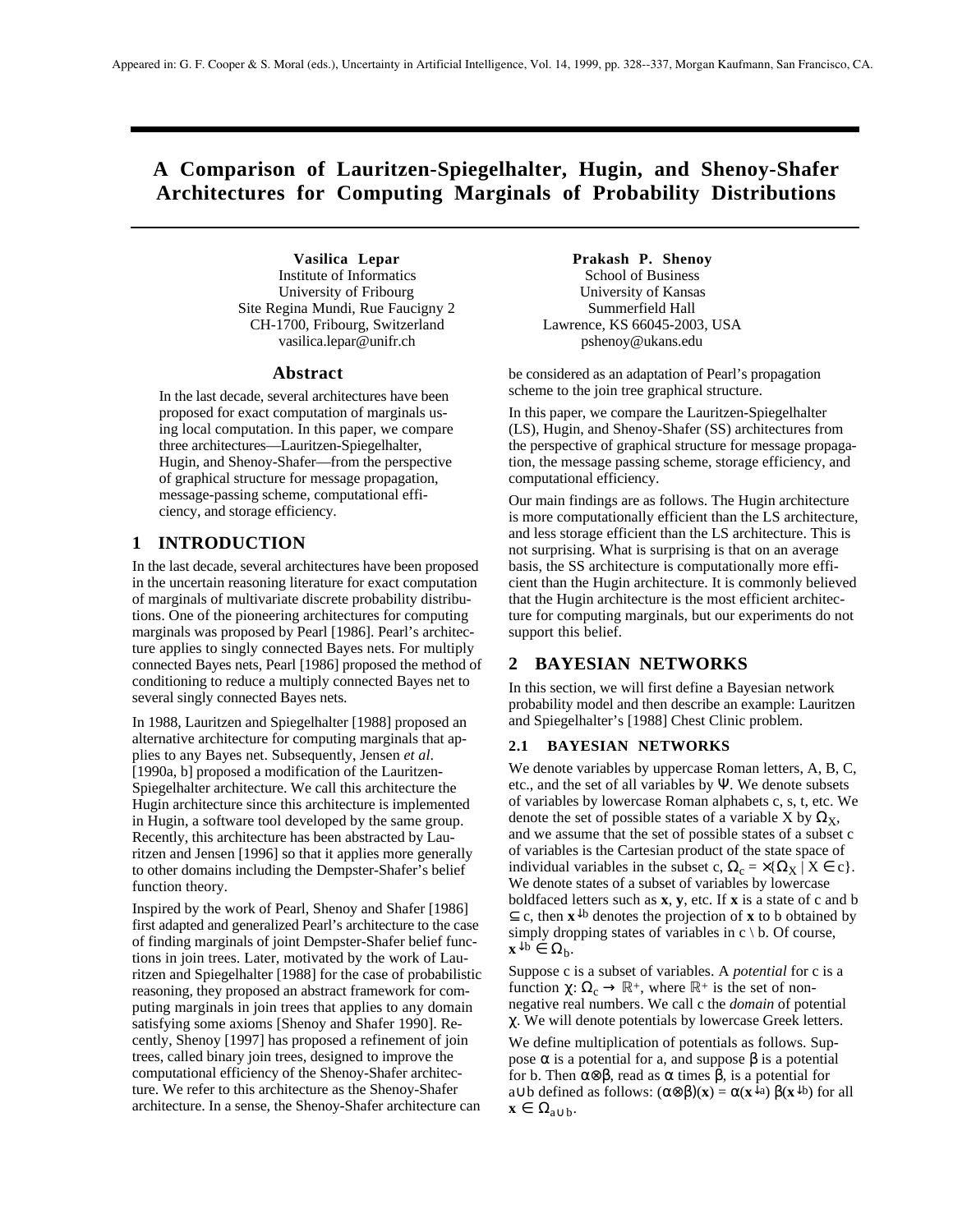# **A Comparison of Lauritzen-Spiegelhalter, Hugin, and Shenoy-Shafer Architectures for Computing Marginals of Probability Distributions**

Institute of Informatics<br>
University of Fribourg<br>
University of Kansas University of Fribourg<br>
University of Kansas<br>
University of Kansas<br>
Summerfield Hall Site Regina Mundi, Rue Faucigny 2 CH-1700, Fribourg, Switzerland Lawrence, KS 66045-2003, USA vasilica.lepar@unifr.ch pshenoy@ukans.edu

#### **Abstract**

In the last decade, several architectures have been proposed for exact computation of marginals using local computation. In this paper, we compare three architectures—Lauritzen-Spiegelhalter, Hugin, and Shenoy-Shafer—from the perspective of graphical structure for message propagation, message-passing scheme, computational efficiency, and storage efficiency.

### **1 INTRODUCTION**

In the last decade, several architectures have been proposed in the uncertain reasoning literature for exact computation of marginals of multivariate discrete probability distributions. One of the pioneering architectures for computing marginals was proposed by Pearl [1986]. Pearl's architecture applies to singly connected Bayes nets. For multiply connected Bayes nets, Pearl [1986] proposed the method of conditioning to reduce a multiply connected Bayes net to several singly connected Bayes nets.

In 1988, Lauritzen and Spiegelhalter [1988] proposed an alternative architecture for computing marginals that applies to any Bayes net. Subsequently, Jensen *et al*. [1990a, b] proposed a modification of the Lauritzen-Spiegelhalter architecture. We call this architecture the Hugin architecture since this architecture is implemented in Hugin, a software tool developed by the same group. Recently, this architecture has been abstracted by Lauritzen and Jensen [1996] so that it applies more generally to other domains including the Dempster-Shafer's belief function theory.

Inspired by the work of Pearl, Shenoy and Shafer [1986] first adapted and generalized Pearl's architecture to the case of finding marginals of joint Dempster-Shafer belief functions in join trees. Later, motivated by the work of Lauritzen and Spiegelhalter [1988] for the case of probabilistic reasoning, they proposed an abstract framework for computing marginals in join trees that applies to any domain satisfying some axioms [Shenoy and Shafer 1990]. Recently, Shenoy [1997] has proposed a refinement of join trees, called binary join trees, designed to improve the computational efficiency of the Shenoy-Shafer architecture. We refer to this architecture as the Shenoy-Shafer architecture. In a sense, the Shenoy-Shafer architecture can

**Vasilica Lepar 6 1988 Prakash P. Shenoy**<br>stitute of Informatics **Prakash P. Shenoy** 

be considered as an adaptation of Pearl's propagation scheme to the join tree graphical structure.

In this paper, we compare the Lauritzen-Spiegelhalter (LS), Hugin, and Shenoy-Shafer (SS) architectures from the perspective of graphical structure for message propagation, the message passing scheme, storage efficiency, and computational efficiency.

Our main findings are as follows. The Hugin architecture is more computationally efficient than the LS architecture, and less storage efficient than the LS architecture. This is not surprising. What is surprising is that on an average basis, the SS architecture is computationally more efficient than the Hugin architecture. It is commonly believed that the Hugin architecture is the most efficient architecture for computing marginals, but our experiments do not support this belief.

# **2 BAYESIAN NETWORKS**

In this section, we will first define a Bayesian network probability model and then describe an example: Lauritzen and Spiegelhalter's [1988] Chest Clinic problem.

### **2.1 BAYESIAN NETWORKS**

We denote variables by uppercase Roman letters, A, B, C, etc., and the set of all variables by Ψ. We denote subsets of variables by lowercase Roman alphabets c, s, t, etc. We denote the set of possible states of a variable X by  $\Omega_X$ , and we assume that the set of possible states of a subset c of variables is the Cartesian product of the state space of individual variables in the subset c,  $\Omega_c = \times {\Omega_X | X \in c}$ . We denote states of a subset of variables by lowercase boldfaced letters such as **x**, **y**, etc. If **x** is a state of c and b ⊆ c, then **x**↓b denotes the projection of **x** to b obtained by simply dropping states of variables in  $c \setminus b$ . Of course,  $\mathbf{x}^{\downarrow}$ b ∈  $\Omega$ <sub>b</sub>.

Suppose c is a subset of variables. A *potential* for c is a function  $\chi: \Omega_c \to \mathbb{R}^+$ , where  $\mathbb{R}^+$  is the set of nonnegative real numbers. We call c the *domain* of potential χ. We will denote potentials by lowercase Greek letters.

We define multiplication of potentials as follows. Suppose  $\alpha$  is a potential for a, and suppose  $\beta$  is a potential for b. Then α⊗β, read as α times β, is a potential for a∪b defined as follows: (α⊗β)(**x**) = α(**x**↓a) β(**x**↓b) for all  $\mathbf{x} \in \Omega_{a \cup b}$ .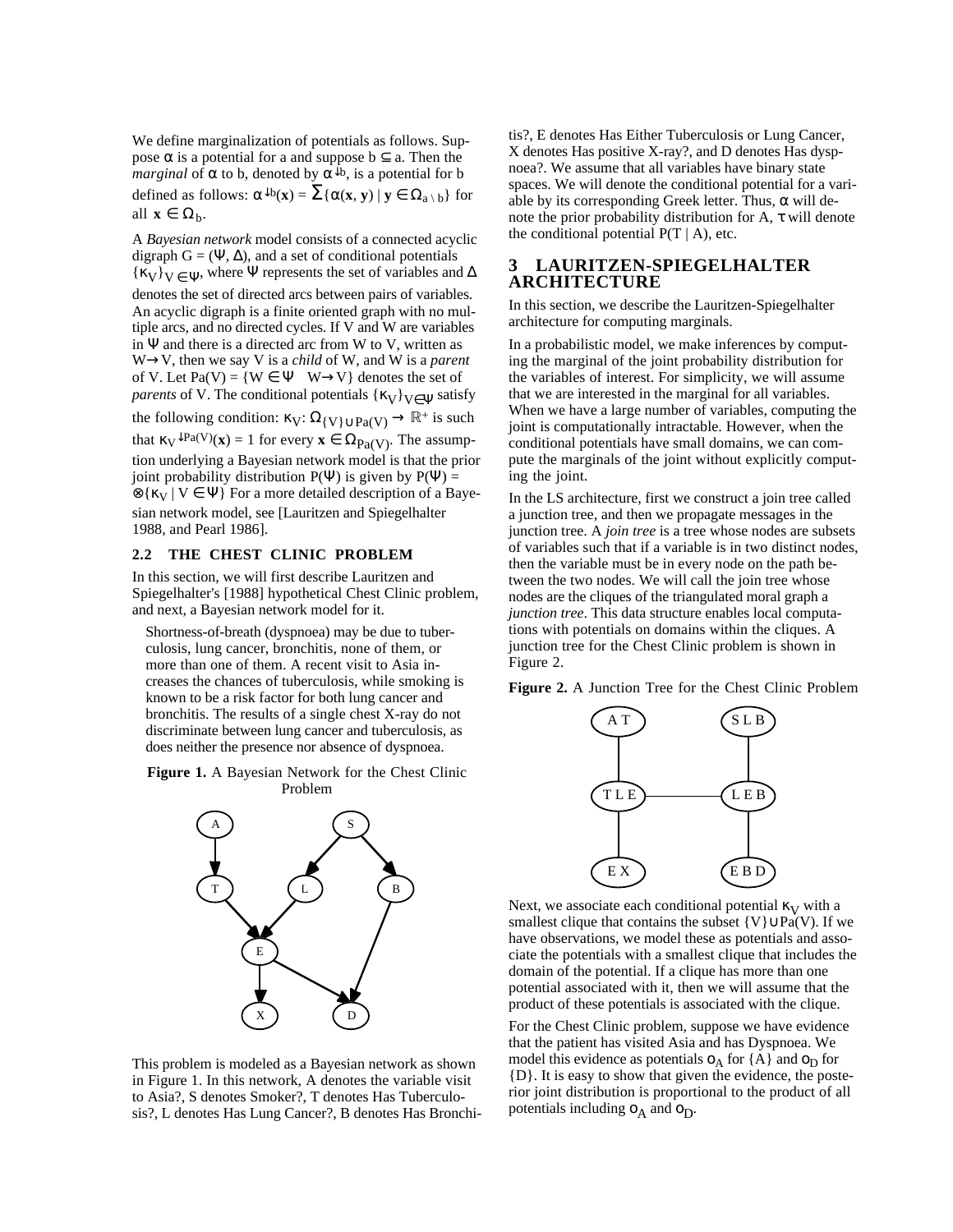We define marginalization of potentials as follows. Suppose  $\alpha$  is a potential for a and suppose  $b \subseteq a$ . Then the *marginal* of  $\alpha$  to b, denoted by  $\alpha^{\downarrow}b$ , is a potential for b defined as follows:  $\alpha^{\downarrow}b(x) = \sum {\{\alpha(x, y) | y \in \Omega_{a \setminus b}\}}$  for all  $\mathbf{x} \in \Omega_h$ .

A *Bayesian network* model consists of a connected acyclic digraph  $G = (\Psi, \Delta)$ , and a set of conditional potentials  $\{ \kappa_V \}_{V \in \Psi}$ , where Ψ represents the set of variables and  $\Delta$ denotes the set of directed arcs between pairs of variables. An acyclic digraph is a finite oriented graph with no multiple arcs, and no directed cycles. If V and W are variables in  $\Psi$  and there is a directed arc from W to V, written as W→V, then we say V is a *child* of W, and W is a *parent* of V. Let Pa(V) =  $\{W \in \Psi \mid W \rightarrow V\}$  denotes the set of *parents* of V. The conditional potentials  $\{\kappa_V\}_{V \in \Psi}$  satisfy the following condition:  $\kappa_V: \Omega_{\{V\} \cup \text{Pa}(V)} \to \mathbb{R}^+$  is such that  $\kappa_V \downarrow \text{Pa}(V)(\mathbf{x}) = 1$  for every  $\mathbf{x} \in \Omega_{Pa(V)}$ . The assumption underlying a Bayesian network model is that the prior joint probability distribution  $P(\Psi)$  is given by  $P(\Psi)$  =  $\mathcal{D}\{\kappa_V | V \in \Psi\}$  For a more detailed description of a Bayesian network model, see [Lauritzen and Spiegelhalter 1988, and Pearl 1986].

### **2.2 THE CHEST CLINIC PROBLEM**

In this section, we will first describe Lauritzen and Spiegelhalter's [1988] hypothetical Chest Clinic problem, and next, a Bayesian network model for it.

Shortness-of-breath (dyspnoea) may be due to tuberculosis, lung cancer, bronchitis, none of them, or more than one of them. A recent visit to Asia increases the chances of tuberculosis, while smoking is known to be a risk factor for both lung cancer and bronchitis. The results of a single chest X-ray do not discriminate between lung cancer and tuberculosis, as does neither the presence nor absence of dyspnoea.

**Figure 1.** A Bayesian Network for the Chest Clinic Problem



This problem is modeled as a Bayesian network as shown in Figure 1. In this network, A denotes the variable visit to Asia?, S denotes Smoker?, T denotes Has Tuberculosis?, L denotes Has Lung Cancer?, B denotes Has Bronchi-

tis?, E denotes Has Either Tuberculosis or Lung Cancer, X denotes Has positive X-ray?, and D denotes Has dyspnoea?. We assume that all variables have binary state spaces. We will denote the conditional potential for a variable by its corresponding Greek letter. Thus,  $\alpha$  will denote the prior probability distribution for A,  $\tau$  will denote the conditional potential  $P(T | A)$ , etc.

# **3 LAURITZEN-SPIEGELHALTER ARCHITECTURE**

In this section, we describe the Lauritzen-Spiegelhalter architecture for computing marginals.

In a probabilistic model, we make inferences by computing the marginal of the joint probability distribution for the variables of interest. For simplicity, we will assume that we are interested in the marginal for all variables. When we have a large number of variables, computing the joint is computationally intractable. However, when the conditional potentials have small domains, we can compute the marginals of the joint without explicitly computing the joint.

In the LS architecture, first we construct a join tree called a junction tree, and then we propagate messages in the junction tree. A *join tree* is a tree whose nodes are subsets of variables such that if a variable is in two distinct nodes, then the variable must be in every node on the path between the two nodes. We will call the join tree whose nodes are the cliques of the triangulated moral graph a *junction tree*. This data structure enables local computations with potentials on domains within the cliques. A junction tree for the Chest Clinic problem is shown in Figure 2.

**Figure 2.** A Junction Tree for the Chest Clinic Problem



Next, we associate each conditional potential  $\kappa_V$  with a smallest clique that contains the subset {V}∪Pa(V). If we have observations, we model these as potentials and associate the potentials with a smallest clique that includes the domain of the potential. If a clique has more than one potential associated with it, then we will assume that the product of these potentials is associated with the clique.

For the Chest Clinic problem, suppose we have evidence that the patient has visited Asia and has Dyspnoea. We model this evidence as potentials  $o<sub>A</sub>$  for {A} and  $o<sub>D</sub>$  for {D}. It is easy to show that given the evidence, the posterior joint distribution is proportional to the product of all potentials including  $o_A$  and  $o_D$ .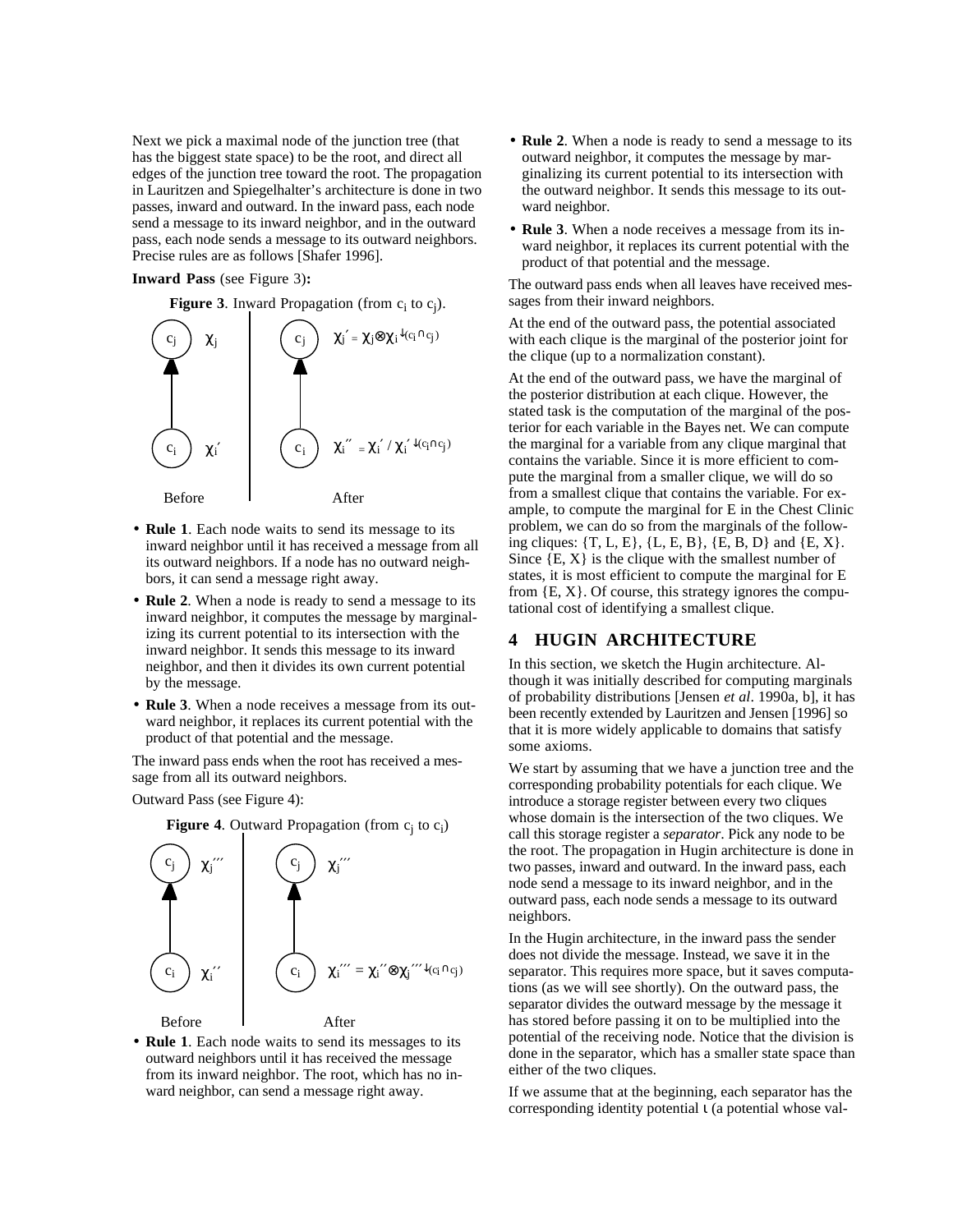Next we pick a maximal node of the junction tree (that has the biggest state space) to be the root, and direct all edges of the junction tree toward the root. The propagation in Lauritzen and Spiegelhalter's architecture is done in two passes, inward and outward. In the inward pass, each node send a message to its inward neighbor, and in the outward pass, each node sends a message to its outward neighbors. Precise rules are as follows [Shafer 1996].

#### **Inward Pass** (see Figure 3)**:**

**Figure 3.** Inward Propagation (from  $c_i$  to  $c_j$ ).



- **Rule 1**. Each node waits to send its message to its inward neighbor until it has received a message from all its outward neighbors. If a node has no outward neighbors, it can send a message right away.
- **Rule 2**. When a node is ready to send a message to its inward neighbor, it computes the message by marginalizing its current potential to its intersection with the inward neighbor. It sends this message to its inward neighbor, and then it divides its own current potential by the message.
- **Rule 3**. When a node receives a message from its outward neighbor, it replaces its current potential with the product of that potential and the message.

The inward pass ends when the root has received a message from all its outward neighbors.

Outward Pass (see Figure 4):



**Figure 4.** Outward Propagation (from  $c_i$  to  $c_i$ )

• **Rule 1**. Each node waits to send its messages to its outward neighbors until it has received the message from its inward neighbor. The root, which has no inward neighbor, can send a message right away.

- **Rule 2**. When a node is ready to send a message to its outward neighbor, it computes the message by marginalizing its current potential to its intersection with the outward neighbor. It sends this message to its outward neighbor.
- **Rule 3**. When a node receives a message from its inward neighbor, it replaces its current potential with the product of that potential and the message.

The outward pass ends when all leaves have received messages from their inward neighbors.

At the end of the outward pass, the potential associated with each clique is the marginal of the posterior joint for the clique (up to a normalization constant).

At the end of the outward pass, we have the marginal of the posterior distribution at each clique. However, the stated task is the computation of the marginal of the posterior for each variable in the Bayes net. We can compute the marginal for a variable from any clique marginal that contains the variable. Since it is more efficient to compute the marginal from a smaller clique, we will do so from a smallest clique that contains the variable. For example, to compute the marginal for E in the Chest Clinic problem, we can do so from the marginals of the following cliques:  $\{T, L, E\}, \{L, E, B\}, \{E, B, D\}$  and  $\{E, X\}.$ Since  $\{E, X\}$  is the clique with the smallest number of states, it is most efficient to compute the marginal for E from  $\{E, X\}$ . Of course, this strategy ignores the computational cost of identifying a smallest clique.

# **4 HUGIN ARCHITECTURE**

In this section, we sketch the Hugin architecture. Although it was initially described for computing marginals of probability distributions [Jensen *et al*. 1990a, b], it has been recently extended by Lauritzen and Jensen [1996] so that it is more widely applicable to domains that satisfy some axioms.

We start by assuming that we have a junction tree and the corresponding probability potentials for each clique. We introduce a storage register between every two cliques whose domain is the intersection of the two cliques. We call this storage register a *separator*. Pick any node to be the root. The propagation in Hugin architecture is done in two passes, inward and outward. In the inward pass, each node send a message to its inward neighbor, and in the outward pass, each node sends a message to its outward neighbors.

In the Hugin architecture, in the inward pass the sender does not divide the message. Instead, we save it in the separator. This requires more space, but it saves computations (as we will see shortly). On the outward pass, the separator divides the outward message by the message it has stored before passing it on to be multiplied into the potential of the receiving node. Notice that the division is done in the separator, which has a smaller state space than either of the two cliques.

If we assume that at the beginning, each separator has the corresponding identity potential  $\iota$  (a potential whose val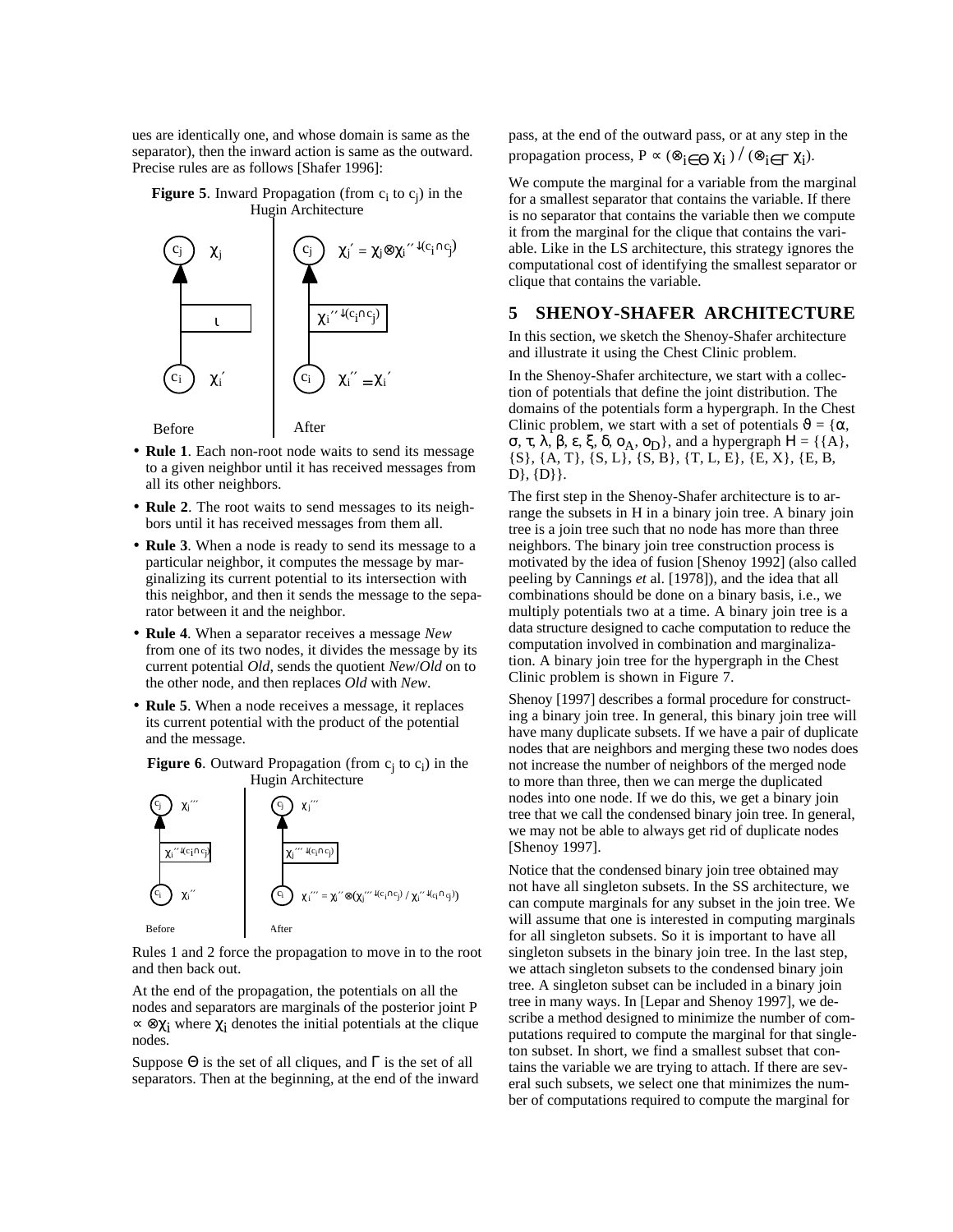ues are identically one, and whose domain is same as the separator), then the inward action is same as the outward. Precise rules are as follows [Shafer 1996]:

#### **Figure 5.** Inward Propagation (from  $c_i$  to  $c_j$ ) in the Hugin Architecture



- **Rule 1**. Each non-root node waits to send its message to a given neighbor until it has received messages from all its other neighbors.
- **Rule 2**. The root waits to send messages to its neighbors until it has received messages from them all.
- **Rule 3**. When a node is ready to send its message to a particular neighbor, it computes the message by marginalizing its current potential to its intersection with this neighbor, and then it sends the message to the separator between it and the neighbor.
- **Rule 4**. When a separator receives a message *New* from one of its two nodes, it divides the message by its current potential *Old*, sends the quotient *New*/*Old* on to the other node, and then replaces *Old* with *New*.
- **Rule 5**. When a node receives a message, it replaces its current potential with the product of the potential and the message.

**Figure 6.** Outward Propagation (from  $c_i$  to  $c_j$ ) in the Hugin Architecture



Rules 1 and 2 force the propagation to move in to the root and then back out.

At the end of the propagation, the potentials on all the nodes and separators are marginals of the posterior joint P  $\propto \otimes \chi_i$  where  $\chi_i$  denotes the initial potentials at the clique nodes.

Suppose  $\Theta$  is the set of all cliques, and  $\Gamma$  is the set of all separators. Then at the beginning, at the end of the inward pass, at the end of the outward pass, or at any step in the propagation process,  $P \propto (\otimes_{i \in \Theta} \chi_i) / (\otimes_{i \in \Gamma} \chi_i)$ .

We compute the marginal for a variable from the marginal for a smallest separator that contains the variable. If there is no separator that contains the variable then we compute it from the marginal for the clique that contains the variable. Like in the LS architecture, this strategy ignores the computational cost of identifying the smallest separator or clique that contains the variable.

### **5 SHENOY-SHAFER ARCHITECTURE**

In this section, we sketch the Shenoy-Shafer architecture and illustrate it using the Chest Clinic problem.

In the Shenoy-Shafer architecture, we start with a collection of potentials that define the joint distribution. The domains of the potentials form a hypergraph. In the Chest Clinic problem, we start with a set of potentials  $\vartheta = {\alpha, \alpha}$ σ, τ, λ, β, ε, ξ, δ, ο<sub>A</sub>, ο<sub>D</sub>}, and a hypergraph  $H = \{ \{A\},\}$  $\{S\}, \{A, T\}, \{S, L\}, \{S, B\}, \{T, L, E\}, \{E, X\}, \{E, B,$  $D\}, \{D\}\}.$ 

The first step in the Shenoy-Shafer architecture is to arrange the subsets in H in a binary join tree. A binary join tree is a join tree such that no node has more than three neighbors. The binary join tree construction process is motivated by the idea of fusion [Shenoy 1992] (also called peeling by Cannings *et* al. [1978]), and the idea that all combinations should be done on a binary basis, i.e., we multiply potentials two at a time. A binary join tree is a data structure designed to cache computation to reduce the computation involved in combination and marginalization. A binary join tree for the hypergraph in the Chest Clinic problem is shown in Figure 7.

Shenoy [1997] describes a formal procedure for constructing a binary join tree. In general, this binary join tree will have many duplicate subsets. If we have a pair of duplicate nodes that are neighbors and merging these two nodes does not increase the number of neighbors of the merged node to more than three, then we can merge the duplicated nodes into one node. If we do this, we get a binary join tree that we call the condensed binary join tree. In general, we may not be able to always get rid of duplicate nodes [Shenoy 1997].

Notice that the condensed binary join tree obtained may not have all singleton subsets. In the SS architecture, we can compute marginals for any subset in the join tree. We will assume that one is interested in computing marginals for all singleton subsets. So it is important to have all singleton subsets in the binary join tree. In the last step, we attach singleton subsets to the condensed binary join tree. A singleton subset can be included in a binary join tree in many ways. In [Lepar and Shenoy 1997], we describe a method designed to minimize the number of computations required to compute the marginal for that singleton subset. In short, we find a smallest subset that contains the variable we are trying to attach. If there are several such subsets, we select one that minimizes the number of computations required to compute the marginal for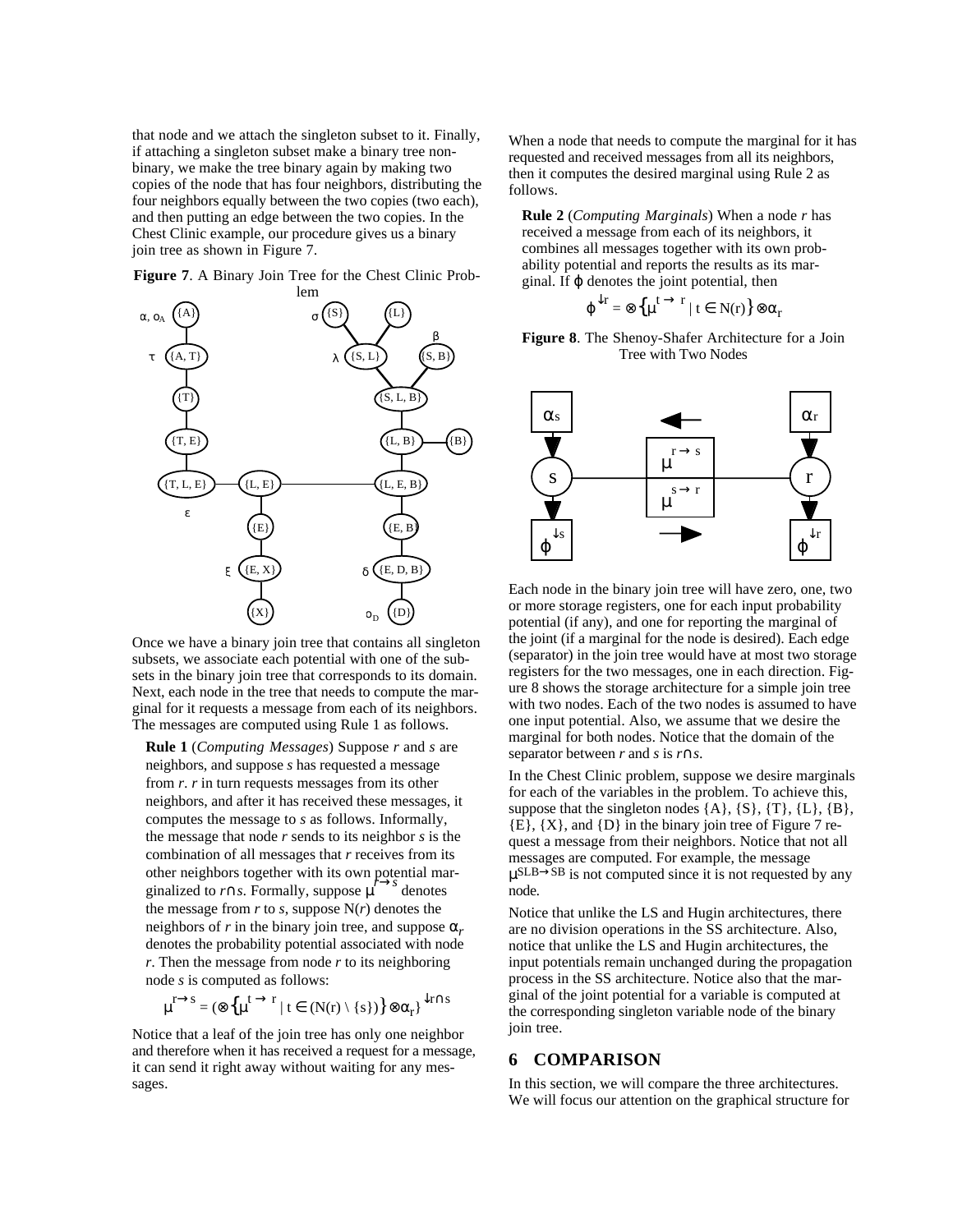that node and we attach the singleton subset to it. Finally, if attaching a singleton subset make a binary tree nonbinary, we make the tree binary again by making two copies of the node that has four neighbors, distributing the four neighbors equally between the two copies (two each), and then putting an edge between the two copies. In the Chest Clinic example, our procedure gives us a binary join tree as shown in Figure 7.

**Figure 7**. A Binary Join Tree for the Chest Clinic Prob-



Once we have a binary join tree that contains all singleton subsets, we associate each potential with one of the subsets in the binary join tree that corresponds to its domain. Next, each node in the tree that needs to compute the marginal for it requests a message from each of its neighbors. The messages are computed using Rule 1 as follows.

**Rule 1** (*Computing Messages*) Suppose *r* and *s* are neighbors, and suppose *s* has requested a message from *r*. *r* in turn requests messages from its other neighbors, and after it has received these messages, it computes the message to *s* as follows. Informally, the message that node *r* sends to its neighbor *s* is the combination of all messages that *r* receives from its other neighbors together with its own potential marginalized to *r*∩*s*. Formally, suppose  $\mu$ <sup>→*s*</sup> denotes the message from  $r$  to  $s$ , suppose  $N(r)$  denotes the neighbors of *r* in the binary join tree, and suppose  $\alpha_r$  denotes the probability potential associated with node *r*. Then the message from node *r* to its neighboring node *s* is computed as follows:

$$
\mu^{r \to s} = (\otimes \{\mu^{t \to r} \mid t \in (N(r) \setminus \{s\})\} \otimes \alpha_r\}^{\downarrow r \cap s}
$$

Notice that a leaf of the join tree has only one neighbor and therefore when it has received a request for a message, it can send it right away without waiting for any messages.

When a node that needs to compute the marginal for it has requested and received messages from all its neighbors, then it computes the desired marginal using Rule 2 as follows.

**Rule 2** (*Computing Marginals*) When a node *r* has received a message from each of its neighbors, it combines all messages together with its own probability potential and reports the results as its marginal. If  $\varphi$  denotes the joint potential, then

$$
\varphi^{\downarrow r} = \otimes \left\{ \mu^{t} \to r \mid t \in N(r) \right\} \otimes \alpha_r
$$

**Figure 8**. The Shenoy-Shafer Architecture for a Join Tree with Two Nodes



Each node in the binary join tree will have zero, one, two or more storage registers, one for each input probability potential (if any), and one for reporting the marginal of the joint (if a marginal for the node is desired). Each edge (separator) in the join tree would have at most two storage registers for the two messages, one in each direction. Figure 8 shows the storage architecture for a simple join tree with two nodes. Each of the two nodes is assumed to have one input potential. Also, we assume that we desire the marginal for both nodes. Notice that the domain of the separator between *r* and *s* is *r*∩*s*.

In the Chest Clinic problem, suppose we desire marginals for each of the variables in the problem. To achieve this, suppose that the singleton nodes  $\{A\}$ ,  $\{S\}$ ,  $\{T\}$ ,  $\{L\}$ ,  $\{B\}$ ,  ${E}$ ,  ${X}$ , and  ${D}$  in the binary join tree of Figure 7 request a message from their neighbors. Notice that not all messages are computed. For example, the message  $\mu$ SLB $\rightarrow$ SB is not computed since it is not requested by any node.

Notice that unlike the LS and Hugin architectures, there are no division operations in the SS architecture. Also, notice that unlike the LS and Hugin architectures, the input potentials remain unchanged during the propagation process in the SS architecture. Notice also that the marginal of the joint potential for a variable is computed at the corresponding singleton variable node of the binary join tree.

# **6 COMPARISON**

In this section, we will compare the three architectures. We will focus our attention on the graphical structure for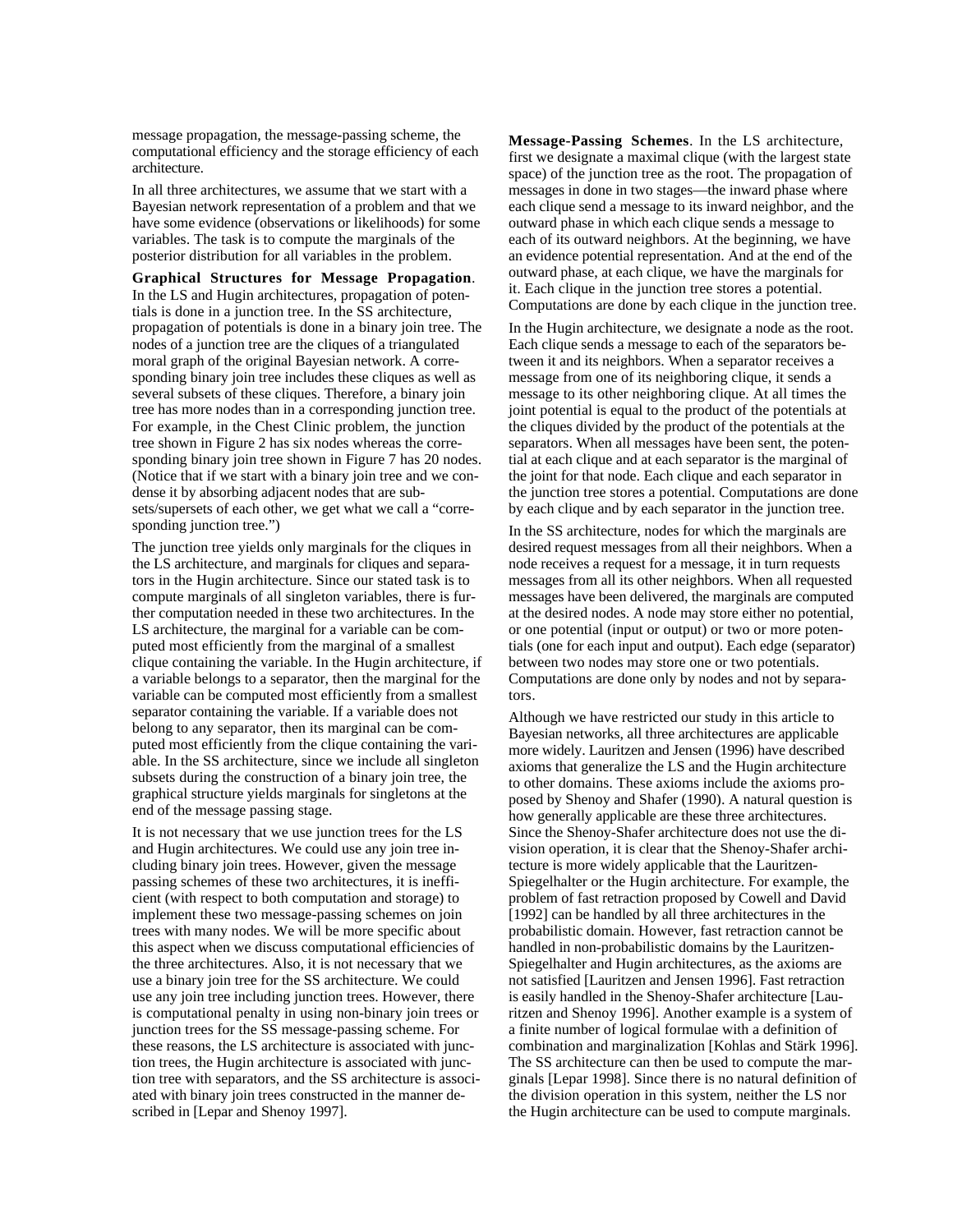message propagation, the message-passing scheme, the computational efficiency and the storage efficiency of each architecture.

In all three architectures, we assume that we start with a Bayesian network representation of a problem and that we have some evidence (observations or likelihoods) for some variables. The task is to compute the marginals of the posterior distribution for all variables in the problem.

**Graphical Structures for Message Propagation**. In the LS and Hugin architectures, propagation of potentials is done in a junction tree. In the SS architecture, propagation of potentials is done in a binary join tree. The nodes of a junction tree are the cliques of a triangulated moral graph of the original Bayesian network. A corresponding binary join tree includes these cliques as well as several subsets of these cliques. Therefore, a binary join tree has more nodes than in a corresponding junction tree. For example, in the Chest Clinic problem, the junction tree shown in Figure 2 has six nodes whereas the corresponding binary join tree shown in Figure 7 has 20 nodes. (Notice that if we start with a binary join tree and we condense it by absorbing adjacent nodes that are subsets/supersets of each other, we get what we call a "corresponding junction tree.")

The junction tree yields only marginals for the cliques in the LS architecture, and marginals for cliques and separators in the Hugin architecture. Since our stated task is to compute marginals of all singleton variables, there is further computation needed in these two architectures. In the LS architecture, the marginal for a variable can be computed most efficiently from the marginal of a smallest clique containing the variable. In the Hugin architecture, if a variable belongs to a separator, then the marginal for the variable can be computed most efficiently from a smallest separator containing the variable. If a variable does not belong to any separator, then its marginal can be computed most efficiently from the clique containing the variable. In the SS architecture, since we include all singleton subsets during the construction of a binary join tree, the graphical structure yields marginals for singletons at the end of the message passing stage.

It is not necessary that we use junction trees for the LS and Hugin architectures. We could use any join tree including binary join trees. However, given the message passing schemes of these two architectures, it is inefficient (with respect to both computation and storage) to implement these two message-passing schemes on join trees with many nodes. We will be more specific about this aspect when we discuss computational efficiencies of the three architectures. Also, it is not necessary that we use a binary join tree for the SS architecture. We could use any join tree including junction trees. However, there is computational penalty in using non-binary join trees or junction trees for the SS message-passing scheme. For these reasons, the LS architecture is associated with junction trees, the Hugin architecture is associated with junction tree with separators, and the SS architecture is associated with binary join trees constructed in the manner described in [Lepar and Shenoy 1997].

**Message-Passing Schemes**. In the LS architecture, first we designate a maximal clique (with the largest state space) of the junction tree as the root. The propagation of messages in done in two stages—the inward phase where each clique send a message to its inward neighbor, and the outward phase in which each clique sends a message to each of its outward neighbors. At the beginning, we have an evidence potential representation. And at the end of the outward phase, at each clique, we have the marginals for it. Each clique in the junction tree stores a potential. Computations are done by each clique in the junction tree.

In the Hugin architecture, we designate a node as the root. Each clique sends a message to each of the separators between it and its neighbors. When a separator receives a message from one of its neighboring clique, it sends a message to its other neighboring clique. At all times the joint potential is equal to the product of the potentials at the cliques divided by the product of the potentials at the separators. When all messages have been sent, the potential at each clique and at each separator is the marginal of the joint for that node. Each clique and each separator in the junction tree stores a potential. Computations are done by each clique and by each separator in the junction tree.

In the SS architecture, nodes for which the marginals are desired request messages from all their neighbors. When a node receives a request for a message, it in turn requests messages from all its other neighbors. When all requested messages have been delivered, the marginals are computed at the desired nodes. A node may store either no potential, or one potential (input or output) or two or more potentials (one for each input and output). Each edge (separator) between two nodes may store one or two potentials. Computations are done only by nodes and not by separators.

Although we have restricted our study in this article to Bayesian networks, all three architectures are applicable more widely. Lauritzen and Jensen (1996) have described axioms that generalize the LS and the Hugin architecture to other domains. These axioms include the axioms proposed by Shenoy and Shafer (1990). A natural question is how generally applicable are these three architectures. Since the Shenoy-Shafer architecture does not use the division operation, it is clear that the Shenoy-Shafer architecture is more widely applicable that the Lauritzen-Spiegelhalter or the Hugin architecture. For example, the problem of fast retraction proposed by Cowell and David [1992] can be handled by all three architectures in the probabilistic domain. However, fast retraction cannot be handled in non-probabilistic domains by the Lauritzen-Spiegelhalter and Hugin architectures, as the axioms are not satisfied [Lauritzen and Jensen 1996]. Fast retraction is easily handled in the Shenoy-Shafer architecture [Lauritzen and Shenoy 1996]. Another example is a system of a finite number of logical formulae with a definition of combination and marginalization [Kohlas and Stärk 1996]. The SS architecture can then be used to compute the marginals [Lepar 1998]. Since there is no natural definition of the division operation in this system, neither the LS nor the Hugin architecture can be used to compute marginals.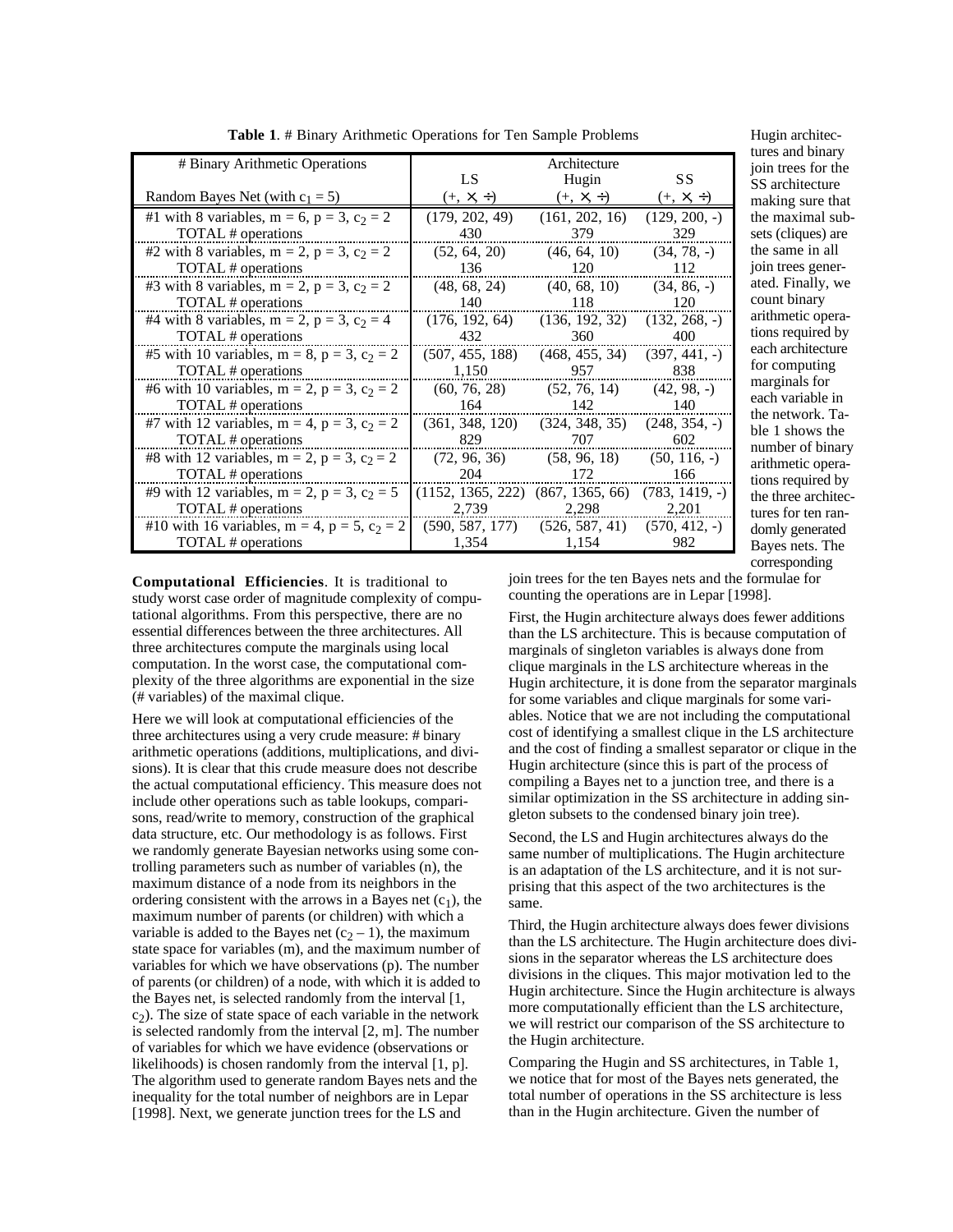| # Binary Arithmetic Operations                          |                                                        | Architecture                                 |                            |
|---------------------------------------------------------|--------------------------------------------------------|----------------------------------------------|----------------------------|
| Random Bayes Net (with $c_1 = 5$ )                      | LS.<br>$(+, \times, \div)$                             | Hugin<br>$(+, \times, \div)$                 | SS.<br>$(+, \times, \div)$ |
| #1 with 8 variables, m = 6, p = 3, c <sub>2</sub> = 2   | (179, 202, 49)                                         | (161, 202, 16)                               | $(129, 200, -)$            |
| TOTAL # operations                                      | 430                                                    | 379                                          | 329                        |
| #2 with 8 variables, m = 2, p = 3, c <sub>2</sub> = 2   | (52, 64, 20)                                           | (46, 64, 10)                                 | $(34, 78, -)$              |
| TOTAL # operations                                      | 136                                                    | 120                                          | 112                        |
| #3 with 8 variables, m = 2, p = 3, c <sub>2</sub> = 2   | (48, 68, 24)                                           | (40, 68, 10)                                 | $(34, 86, -)$              |
| TOTAL # operations                                      | 140                                                    | 118                                          | 120                        |
| #4 with 8 variables, m = 2, p = 3, c <sub>2</sub> = 4   |                                                        | $(176, 192, 64)$ $(136, 192, 32)$            | $(132, 268, -)$            |
| TOTAL # operations                                      | 432                                                    | 360                                          | 400                        |
| #5 with 10 variables, m = 8, p = 3, c <sub>2</sub> = 2  | $(507, 455, 188)$ $(468, 455, 34)$                     |                                              | $(397, 441, -)$            |
| TOTAL # operations                                      | 1,150                                                  | 957 838                                      |                            |
| #6 with 10 variables, m = 2, p = 3, c <sub>2</sub> = 2  |                                                        | $(60, 76, 28)$ $(52, 76, 14)$ $(42, 98, -)$  |                            |
| TOTAL # operations                                      | 164                                                    | 142                                          | 140                        |
| #7 with 12 variables, m = 4, p = 3, c <sub>2</sub> = 2  | $(361, 348, 120)$ $(324, 348, 35)$ $(248, 354, -)$     |                                              |                            |
| TOTAL # operations                                      | 829                                                    | 707                                          | 602                        |
| #8 with 12 variables, m = 2, p = 3, c <sub>2</sub> = 2  |                                                        | $(72, 96, 36)$ $(58, 96, 18)$ $(50, 116, -)$ |                            |
| TOTAL # operations                                      | 204                                                    | 172                                          | 166                        |
| #9 with 12 variables, m = 2, p = 3, c <sub>2</sub> = 5  | $(1152, 1365, 222)$ $(867, 1365, 66)$ $(783, 1419, -)$ |                                              |                            |
| TOTAL # operations                                      |                                                        | 2,739 2,298 2,201                            |                            |
| #10 with 16 variables, m = 4, p = 5, c <sub>2</sub> = 2 | $(590, 587, 177)$ $(526, 587, 41)$ $(570, 412, -)$     |                                              |                            |
| TOTAL # operations                                      | 1,354                                                  | 1,154                                        | 982                        |

**Table 1**. # Binary Arithmetic Operations for Ten Sample Problems

Hugin architectures and binary join trees for the SS architecture making sure that the maximal subsets (cliques) are the same in all join trees generated. Finally, we count binary arithmetic operations required by each architecture for computing marginals for each variable in the network. Table 1 shows the number of binary arithmetic operations required by the three architectures for ten randomly generated Bayes nets. The corresponding

**Computational Efficiencies**. It is traditional to study worst case order of magnitude complexity of computational algorithms. From this perspective, there are no essential differences between the three architectures. All three architectures compute the marginals using local computation. In the worst case, the computational complexity of the three algorithms are exponential in the size (# variables) of the maximal clique.

Here we will look at computational efficiencies of the three architectures using a very crude measure: # binary arithmetic operations (additions, multiplications, and divisions). It is clear that this crude measure does not describe the actual computational efficiency. This measure does not include other operations such as table lookups, comparisons, read/write to memory, construction of the graphical data structure, etc. Our methodology is as follows. First we randomly generate Bayesian networks using some controlling parameters such as number of variables (n), the maximum distance of a node from its neighbors in the ordering consistent with the arrows in a Bayes net  $(c_1)$ , the maximum number of parents (or children) with which a variable is added to the Bayes net  $(c_2 - 1)$ , the maximum state space for variables (m), and the maximum number of variables for which we have observations (p). The number of parents (or children) of a node, with which it is added to the Bayes net, is selected randomly from the interval [1,  $c<sub>2</sub>$ ). The size of state space of each variable in the network is selected randomly from the interval [2, m]. The number of variables for which we have evidence (observations or likelihoods) is chosen randomly from the interval [1, p]. The algorithm used to generate random Bayes nets and the inequality for the total number of neighbors are in Lepar [1998]. Next, we generate junction trees for the LS and

join trees for the ten Bayes nets and the formulae for counting the operations are in Lepar [1998].

First, the Hugin architecture always does fewer additions than the LS architecture. This is because computation of marginals of singleton variables is always done from clique marginals in the LS architecture whereas in the Hugin architecture, it is done from the separator marginals for some variables and clique marginals for some variables. Notice that we are not including the computational cost of identifying a smallest clique in the LS architecture and the cost of finding a smallest separator or clique in the Hugin architecture (since this is part of the process of compiling a Bayes net to a junction tree, and there is a similar optimization in the SS architecture in adding singleton subsets to the condensed binary join tree).

Second, the LS and Hugin architectures always do the same number of multiplications. The Hugin architecture is an adaptation of the LS architecture, and it is not surprising that this aspect of the two architectures is the same.

Third, the Hugin architecture always does fewer divisions than the LS architecture. The Hugin architecture does divisions in the separator whereas the LS architecture does divisions in the cliques. This major motivation led to the Hugin architecture. Since the Hugin architecture is always more computationally efficient than the LS architecture, we will restrict our comparison of the SS architecture to the Hugin architecture.

Comparing the Hugin and SS architectures, in Table 1, we notice that for most of the Bayes nets generated, the total number of operations in the SS architecture is less than in the Hugin architecture. Given the number of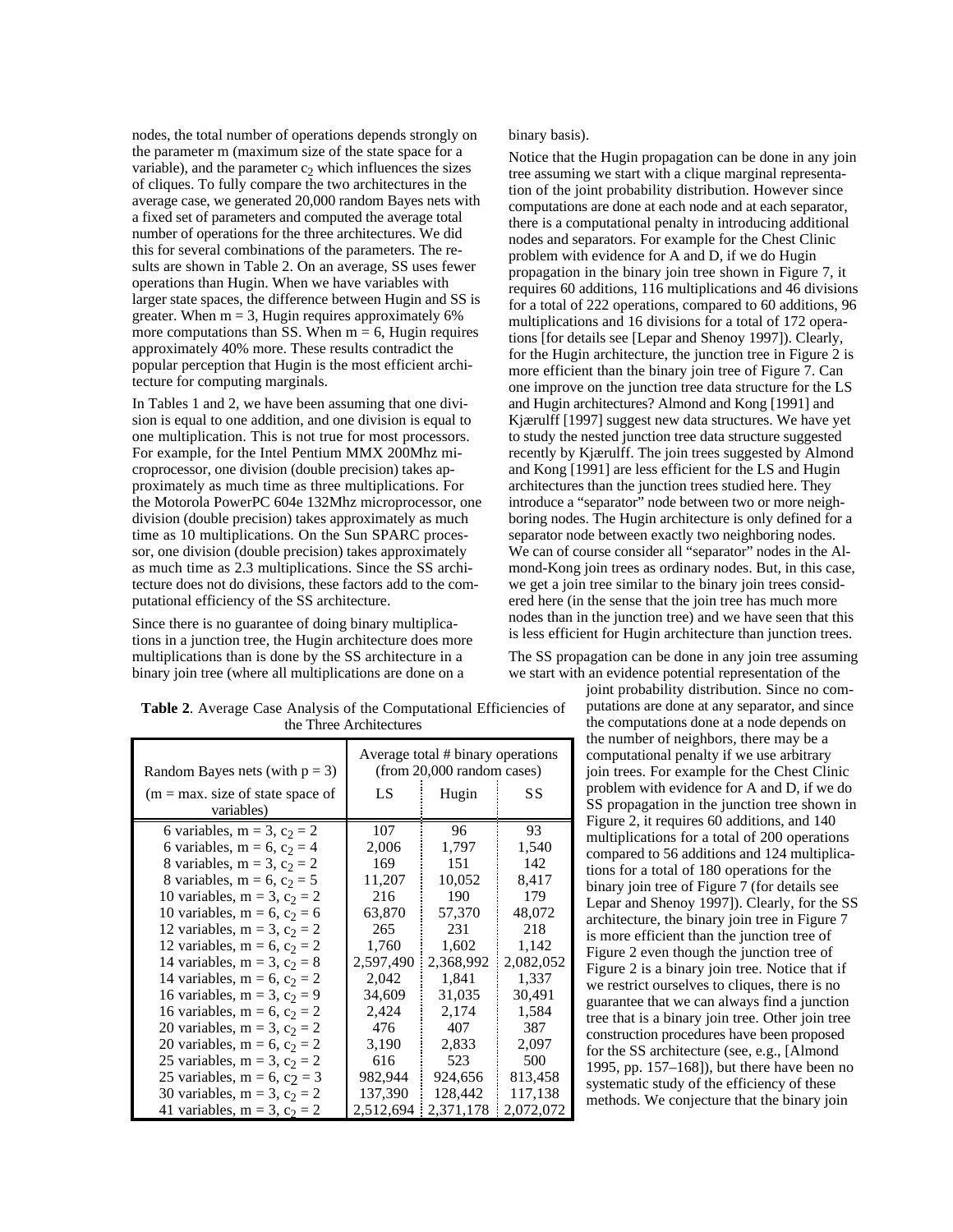nodes, the total number of operations depends strongly on the parameter m (maximum size of the state space for a variable), and the parameter  $c_2$  which influences the sizes of cliques. To fully compare the two architectures in the average case, we generated 20,000 random Bayes nets with a fixed set of parameters and computed the average total number of operations for the three architectures. We did this for several combinations of the parameters. The results are shown in Table 2. On an average, SS uses fewer operations than Hugin. When we have variables with larger state spaces, the difference between Hugin and SS is greater. When  $m = 3$ , Hugin requires approximately 6% more computations than SS. When  $m = 6$ , Hugin requires approximately 40% more. These results contradict the popular perception that Hugin is the most efficient architecture for computing marginals.

In Tables 1 and 2, we have been assuming that one division is equal to one addition, and one division is equal to one multiplication. This is not true for most processors. For example, for the Intel Pentium MMX 200Mhz microprocessor, one division (double precision) takes approximately as much time as three multiplications. For the Motorola PowerPC 604e 132Mhz microprocessor, one division (double precision) takes approximately as much time as 10 multiplications. On the Sun SPARC processor, one division (double precision) takes approximately as much time as 2.3 multiplications. Since the SS architecture does not do divisions, these factors add to the computational efficiency of the SS architecture.

Since there is no guarantee of doing binary multiplications in a junction tree, the Hugin architecture does more multiplications than is done by the SS architecture in a binary join tree (where all multiplications are done on a

binary basis).

Notice that the Hugin propagation can be done in any join tree assuming we start with a clique marginal representation of the joint probability distribution. However since computations are done at each node and at each separator, there is a computational penalty in introducing additional nodes and separators. For example for the Chest Clinic problem with evidence for A and D, if we do Hugin propagation in the binary join tree shown in Figure 7, it requires 60 additions, 116 multiplications and 46 divisions for a total of 222 operations, compared to 60 additions, 96 multiplications and 16 divisions for a total of 172 operations [for details see [Lepar and Shenoy 1997]). Clearly, for the Hugin architecture, the junction tree in Figure 2 is more efficient than the binary join tree of Figure 7. Can one improve on the junction tree data structure for the LS and Hugin architectures? Almond and Kong [1991] and Kjærulff [1997] suggest new data structures. We have yet to study the nested junction tree data structure suggested recently by Kjærulff. The join trees suggested by Almond and Kong [1991] are less efficient for the LS and Hugin architectures than the junction trees studied here. They introduce a "separator" node between two or more neighboring nodes. The Hugin architecture is only defined for a separator node between exactly two neighboring nodes. We can of course consider all "separator" nodes in the Almond-Kong join trees as ordinary nodes. But, in this case, we get a join tree similar to the binary join trees considered here (in the sense that the join tree has much more nodes than in the junction tree) and we have seen that this is less efficient for Hugin architecture than junction trees.

The SS propagation can be done in any join tree assuming we start with an evidence potential representation of the

joint probability distribution. Since no computations are done at any separator, and since the computations done at a node depends on the number of neighbors, there may be a computational penalty if we use arbitrary join trees. For example for the Chest Clinic problem with evidence for A and D, if we do SS propagation in the junction tree shown in Figure 2, it requires 60 additions, and 140 multiplications for a total of 200 operations compared to 56 additions and 124 multiplications for a total of 180 operations for the binary join tree of Figure 7 (for details see Lepar and Shenoy 1997]). Clearly, for the SS architecture, the binary join tree in Figure 7 is more efficient than the junction tree of Figure 2 even though the junction tree of Figure 2 is a binary join tree. Notice that if we restrict ourselves to cliques, there is no guarantee that we can always find a junction tree that is a binary join tree. Other join tree construction procedures have been proposed for the SS architecture (see, e.g., [Almond 1995, pp. 157–168]), but there have been no systematic study of the efficiency of these methods. We conjecture that the binary join

**Table 2**. Average Case Analysis of the Computational Efficiencies of the Three Architectures

| Random Bayes nets (with $p = 3$ )       | Average total # binary operations<br>(from 20,000 random cases) |           |           |
|-----------------------------------------|-----------------------------------------------------------------|-----------|-----------|
| $(m = max. size of state space of)$     | LS                                                              | Hugin     | SS        |
| variables)                              |                                                                 |           |           |
| 6 variables, m = 3, c <sub>2</sub> = 2  | 107                                                             | 96        | 93        |
| 6 variables, m = 6, c <sub>2</sub> = 4  | 2,006                                                           | 1,797     | 1,540     |
| 8 variables, m = 3, c <sub>2</sub> = 2  | 169                                                             | 151       | 142       |
| 8 variables, m = 6, c <sub>2</sub> = 5  | 11,207                                                          | 10,052    | 8,417     |
| 10 variables, m = 3, c <sub>2</sub> = 2 | 216                                                             | 190       | 179       |
| 10 variables, m = 6, c <sub>2</sub> = 6 | 63,870                                                          | 57,370    | 48,072    |
| 12 variables, m = 3, c <sub>2</sub> = 2 | 265                                                             | 231       | 218       |
| 12 variables, m = 6, c <sub>2</sub> = 2 | 1,760                                                           | 1,602     | 1,142     |
| 14 variables, m = 3, c <sub>2</sub> = 8 | 2,597,490                                                       | 2,368,992 | 2,082,052 |
| 14 variables, m = 6, c <sub>2</sub> = 2 | 2,042                                                           | 1,841     | 1,337     |
| 16 variables, m = 3, c <sub>2</sub> = 9 | 34,609                                                          | 31,035    | 30,491    |
| 16 variables, m = 6, c <sub>2</sub> = 2 | 2,424                                                           | 2,174     | 1,584     |
| 20 variables, m = 3, c <sub>2</sub> = 2 | 476                                                             | 407       | 387       |
| 20 variables, m = 6, c <sub>2</sub> = 2 | 3,190                                                           | 2,833     | 2,097     |
| 25 variables, m = 3, c <sub>2</sub> = 2 | 616                                                             | 523       | 500       |
| 25 variables, m = 6, c <sub>2</sub> = 3 | 982,944                                                         | 924,656   | 813,458   |
| 30 variables, m = 3, c <sub>2</sub> = 2 | 137,390                                                         | 128,442   | 117,138   |
| 41 variables, m = 3, c <sub>2</sub> = 2 | 2,512,694                                                       | 2,371,178 | 2,072,072 |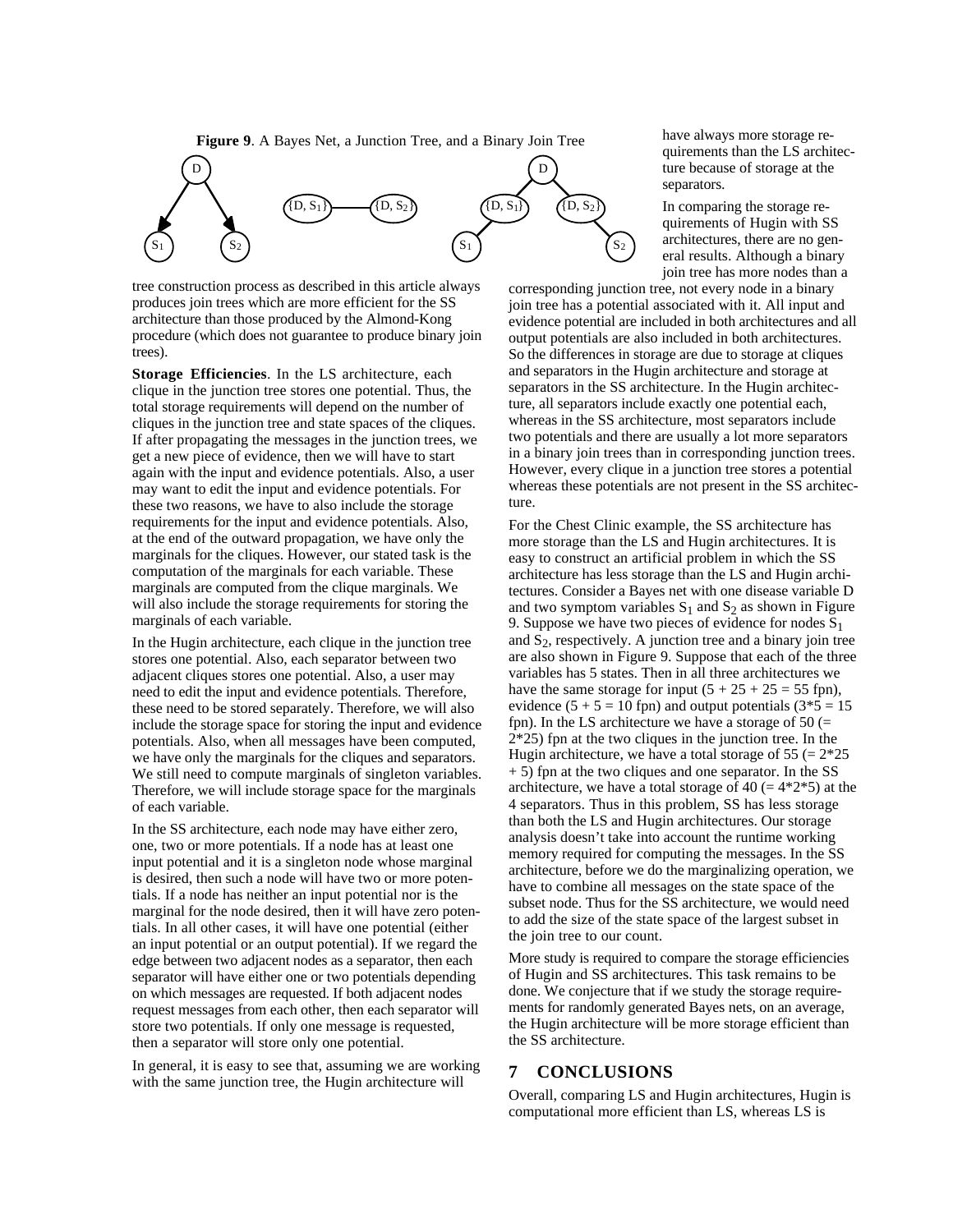**Figure 9**. A Bayes Net, a Junction Tree, and a Binary Join Tree



tree construction process as described in this article always produces join trees which are more efficient for the SS architecture than those produced by the Almond-Kong procedure (which does not guarantee to produce binary join trees).

**Storage Efficiencies**. In the LS architecture, each clique in the junction tree stores one potential. Thus, the total storage requirements will depend on the number of cliques in the junction tree and state spaces of the cliques. If after propagating the messages in the junction trees, we get a new piece of evidence, then we will have to start again with the input and evidence potentials. Also, a user may want to edit the input and evidence potentials. For these two reasons, we have to also include the storage requirements for the input and evidence potentials. Also, at the end of the outward propagation, we have only the marginals for the cliques. However, our stated task is the computation of the marginals for each variable. These marginals are computed from the clique marginals. We will also include the storage requirements for storing the marginals of each variable.

In the Hugin architecture, each clique in the junction tree stores one potential. Also, each separator between two adjacent cliques stores one potential. Also, a user may need to edit the input and evidence potentials. Therefore, these need to be stored separately. Therefore, we will also include the storage space for storing the input and evidence potentials. Also, when all messages have been computed, we have only the marginals for the cliques and separators. We still need to compute marginals of singleton variables. Therefore, we will include storage space for the marginals of each variable.

In the SS architecture, each node may have either zero, one, two or more potentials. If a node has at least one input potential and it is a singleton node whose marginal is desired, then such a node will have two or more potentials. If a node has neither an input potential nor is the marginal for the node desired, then it will have zero potentials. In all other cases, it will have one potential (either an input potential or an output potential). If we regard the edge between two adjacent nodes as a separator, then each separator will have either one or two potentials depending on which messages are requested. If both adjacent nodes request messages from each other, then each separator will store two potentials. If only one message is requested, then a separator will store only one potential.

In general, it is easy to see that, assuming we are working with the same junction tree, the Hugin architecture will

have always more storage requirements than the LS architecture because of storage at the separators.

In comparing the storage requirements of Hugin with SS architectures, there are no general results. Although a binary join tree has more nodes than a

corresponding junction tree, not every node in a binary join tree has a potential associated with it. All input and evidence potential are included in both architectures and all output potentials are also included in both architectures. So the differences in storage are due to storage at cliques and separators in the Hugin architecture and storage at separators in the SS architecture. In the Hugin architecture, all separators include exactly one potential each, whereas in the SS architecture, most separators include two potentials and there are usually a lot more separators in a binary join trees than in corresponding junction trees. However, every clique in a junction tree stores a potential whereas these potentials are not present in the SS architecture.

For the Chest Clinic example, the SS architecture has more storage than the LS and Hugin architectures. It is easy to construct an artificial problem in which the SS architecture has less storage than the LS and Hugin architectures. Consider a Bayes net with one disease variable D and two symptom variables  $S_1$  and  $S_2$  as shown in Figure 9. Suppose we have two pieces of evidence for nodes  $S_1$ and  $S_2$ , respectively. A junction tree and a binary join tree are also shown in Figure 9. Suppose that each of the three variables has 5 states. Then in all three architectures we have the same storage for input  $(5 + 25 + 25 = 55$  fpn), evidence  $(5 + 5 = 10$  fpn) and output potentials  $(3*5 = 15$ fpn). In the LS architecture we have a storage of  $50$  (= 2\*25) fpn at the two cliques in the junction tree. In the Hugin architecture, we have a total storage of  $55 (= 2*25)$ + 5) fpn at the two cliques and one separator. In the SS architecture, we have a total storage of 40 ( $= 4*2*5$ ) at the 4 separators. Thus in this problem, SS has less storage than both the LS and Hugin architectures. Our storage analysis doesn't take into account the runtime working memory required for computing the messages. In the SS architecture, before we do the marginalizing operation, we have to combine all messages on the state space of the subset node. Thus for the SS architecture, we would need to add the size of the state space of the largest subset in the join tree to our count.

More study is required to compare the storage efficiencies of Hugin and SS architectures. This task remains to be done. We conjecture that if we study the storage requirements for randomly generated Bayes nets, on an average, the Hugin architecture will be more storage efficient than the SS architecture.

## **7 CONCLUSIONS**

Overall, comparing LS and Hugin architectures, Hugin is computational more efficient than LS, whereas LS is